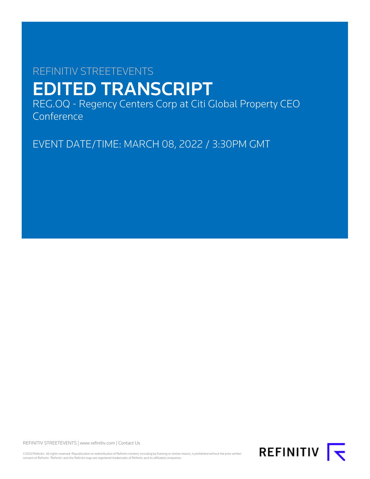# REFINITIV STREETEVENTS EDITED TRANSCRIPT

REG.OQ - Regency Centers Corp at Citi Global Property CEO Conference

EVENT DATE/TIME: MARCH 08, 2022 / 3:30PM GMT

REFINITIV STREETEVENTS | [www.refinitiv.com](https://www.refinitiv.com/) | [Contact Us](https://www.refinitiv.com/en/contact-us)

©2022 Refinitiv. All rights reserved. Republication or redistribution of Refinitiv content, including by framing or similar means, is prohibited without the prior written<br>consent of Refinitiv. 'Refinitiv' and the Refinitiv

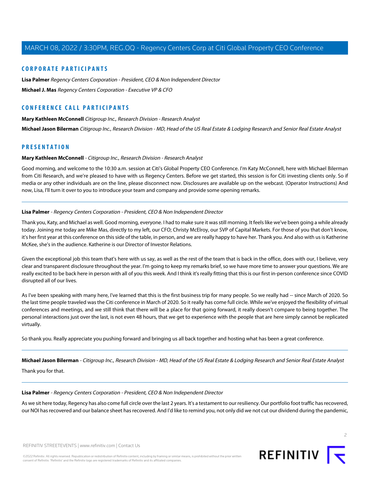# **CORPORATE PARTICIPANTS**

**[Lisa Palmer](#page-1-0)** Regency Centers Corporation - President, CEO & Non Independent Director **[Michael J. Mas](#page-8-0)** Regency Centers Corporation - Executive VP & CFO

# **CONFERENCE CALL PARTICIPANTS**

#### **[Mary Kathleen McConnell](#page-1-1)** Citigroup Inc., Research Division - Research Analyst

**[Michael Jason Bilerman](#page-1-2)** Citigroup Inc., Research Division - MD, Head of the US Real Estate & Lodging Research and Senior Real Estate Analyst

# <span id="page-1-1"></span>**PRESENTATION**

#### **Mary Kathleen McConnell** - Citigroup Inc., Research Division - Research Analyst

Good morning, and welcome to the 10:30 a.m. session at Citi's Global Property CEO Conference. I'm Katy McConnell, here with Michael Bilerman from Citi Research, and we're pleased to have with us Regency Centers. Before we get started, this session is for Citi investing clients only. So if media or any other individuals are on the line, please disconnect now. Disclosures are available up on the webcast. (Operator Instructions) And now, Lisa, I'll turn it over to you to introduce your team and company and provide some opening remarks.

#### <span id="page-1-0"></span>**Lisa Palmer** - Regency Centers Corporation - President, CEO & Non Independent Director

Thank you, Katy, and Michael as well. Good morning, everyone. I had to make sure it was still morning. It feels like we've been going a while already today. Joining me today are Mike Mas, directly to my left, our CFO; Christy McElroy, our SVP of Capital Markets. For those of you that don't know, it's her first year at this conference on this side of the table, in person, and we are really happy to have her. Thank you. And also with us is Katherine McKee, she's in the audience. Katherine is our Director of Investor Relations.

Given the exceptional job this team that's here with us say, as well as the rest of the team that is back in the office, does with our, I believe, very clear and transparent disclosure throughout the year. I'm going to keep my remarks brief, so we have more time to answer your questions. We are really excited to be back here in person with all of you this week. And I think it's really fitting that this is our first in-person conference since COVID disrupted all of our lives.

As I've been speaking with many here, I've learned that this is the first business trip for many people. So we really had -- since March of 2020. So the last time people traveled was the Citi conference in March of 2020. So it really has come full circle. While we've enjoyed the flexibility of virtual conferences and meetings, and we still think that there will be a place for that going forward, it really doesn't compare to being together. The personal interactions just over the last, is not even 48 hours, that we get to experience with the people that are here simply cannot be replicated virtually.

<span id="page-1-2"></span>So thank you. Really appreciate you pushing forward and bringing us all back together and hosting what has been a great conference.

**Michael Jason Bilerman** - Citigroup Inc., Research Division - MD, Head of the US Real Estate & Lodging Research and Senior Real Estate Analyst

Thank you for that.

# **Lisa Palmer** - Regency Centers Corporation - President, CEO & Non Independent Director

As we sit here today, Regency has also come full circle over the last 2 years. It's a testament to our resiliency. Our portfolio foot traffic has recovered, our NOI has recovered and our balance sheet has recovered. And I'd like to remind you, not only did we not cut our dividend during the pandemic,

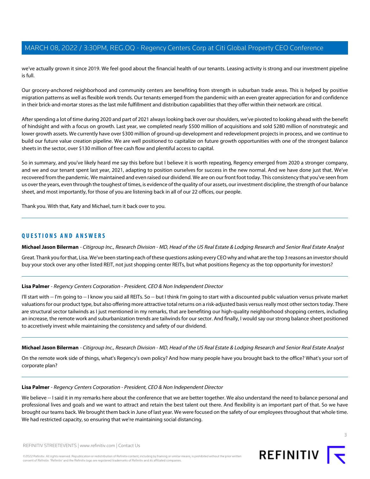we've actually grown it since 2019. We feel good about the financial health of our tenants. Leasing activity is strong and our investment pipeline is full.

Our grocery-anchored neighborhood and community centers are benefiting from strength in suburban trade areas. This is helped by positive migration patterns as well as flexible work trends. Our tenants emerged from the pandemic with an even greater appreciation for and confidence in their brick-and-mortar stores as the last mile fulfillment and distribution capabilities that they offer within their network are critical.

After spending a lot of time during 2020 and part of 2021 always looking back over our shoulders, we've pivoted to looking ahead with the benefit of hindsight and with a focus on growth. Last year, we completed nearly \$500 million of acquisitions and sold \$280 million of nonstrategic and lower growth assets. We currently have over \$300 million of ground-up development and redevelopment projects in process, and we continue to build our future value creation pipeline. We are well positioned to capitalize on future growth opportunities with one of the strongest balance sheets in the sector, over \$130 million of free cash flow and plentiful access to capital.

So in summary, and you've likely heard me say this before but I believe it is worth repeating, Regency emerged from 2020 a stronger company, and we and our tenant spent last year, 2021, adapting to position ourselves for success in the new normal. And we have done just that. We've recovered from the pandemic. We maintained and even raised our dividend. We are on our front foot today. This consistency that you've seen from us over the years, even through the toughest of times, is evidence of the quality of our assets, our investment discipline, the strength of our balance sheet, and most importantly, for those of you are listening back in all of our 22 offices, our people.

Thank you. With that, Katy and Michael, turn it back over to you.

# **QUESTIONS AND ANSWERS**

**Michael Jason Bilerman** - Citigroup Inc., Research Division - MD, Head of the US Real Estate & Lodging Research and Senior Real Estate Analyst

Great. Thank you for that, Lisa. We've been starting each of these questions asking every CEO why and what are the top 3 reasons an investor should buy your stock over any other listed REIT, not just shopping center REITs, but what positions Regency as the top opportunity for investors?

# **Lisa Palmer** - Regency Centers Corporation - President, CEO & Non Independent Director

I'll start with -- I'm going to -- I know you said all REITs. So -- but I think I'm going to start with a discounted public valuation versus private market valuations for our product type, but also offering more attractive total returns on a risk-adjusted basis versus really most other sectors today. There are structural sector tailwinds as I just mentioned in my remarks, that are benefiting our high-quality neighborhood shopping centers, including an increase, the remote work and suburbanization trends are tailwinds for our sector. And finally, I would say our strong balance sheet positioned to accretively invest while maintaining the consistency and safety of our dividend.

**Michael Jason Bilerman** - Citigroup Inc., Research Division - MD, Head of the US Real Estate & Lodging Research and Senior Real Estate Analyst

On the remote work side of things, what's Regency's own policy? And how many people have you brought back to the office? What's your sort of corporate plan?

#### **Lisa Palmer** - Regency Centers Corporation - President, CEO & Non Independent Director

We believe -- I said it in my remarks here about the conference that we are better together. We also understand the need to balance personal and professional lives and goals and we want to attract and retain the best talent out there. And flexibility is an important part of that. So we have brought our teams back. We brought them back in June of last year. We were focused on the safety of our employees throughout that whole time. We had restricted capacity, so ensuring that we're maintaining social distancing.

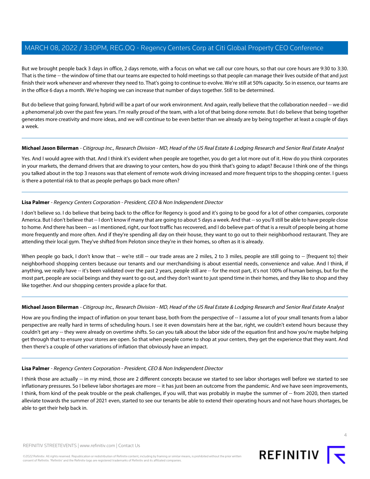But we brought people back 3 days in office, 2 days remote, with a focus on what we call our core hours, so that our core hours are 9:30 to 3:30. That is the time -- the window of time that our teams are expected to hold meetings so that people can manage their lives outside of that and just finish their work whenever and wherever they need to. That's going to continue to evolve. We're still at 50% capacity. So in essence, our teams are in the office 6 days a month. We're hoping we can increase that number of days together. Still to be determined.

But do believe that going forward, hybrid will be a part of our work environment. And again, really believe that the collaboration needed -- we did a phenomenal job over the past few years. I'm really proud of the team, with a lot of that being done remote. But I do believe that being together generates more creativity and more ideas, and we will continue to be even better than we already are by being together at least a couple of days a week.

# **Michael Jason Bilerman** - Citigroup Inc., Research Division - MD, Head of the US Real Estate & Lodging Research and Senior Real Estate Analyst

Yes. And I would agree with that. And I think it's evident when people are together, you do get a lot more out of it. How do you think corporates in your markets, the demand drivers that are drawing to your centers, how do you think that's going to adapt? Because I think one of the things you talked about in the top 3 reasons was that element of remote work driving increased and more frequent trips to the shopping center. I guess is there a potential risk to that as people perhaps go back more often?

# **Lisa Palmer** - Regency Centers Corporation - President, CEO & Non Independent Director

I don't believe so. I do believe that being back to the office for Regency is good and it's going to be good for a lot of other companies, corporate America. But I don't believe that -- I don't know if many that are going to about 5 days a week. And that -- so you'll still be able to have people close to home. And there has been -- as I mentioned, right, our foot traffic has recovered, and I do believe part of that is a result of people being at home more frequently and more often. And if they're spending all day on their house, they want to go out to their neighborhood restaurant. They are attending their local gym. They've shifted from Peloton since they're in their homes, so often as it is already.

When people go back, I don't know that -- we're still -- our trade areas are 2 miles, 2 to 3 miles, people are still going to -- [frequent to] their neighborhood shopping centers because our tenants and our merchandising is about essential needs, convenience and value. And I think, if anything, we really have -- it's been validated over the past 2 years, people still are -- for the most part, it's not 100% of human beings, but for the most part, people are social beings and they want to go out, and they don't want to just spend time in their homes, and they like to shop and they like together. And our shopping centers provide a place for that.

# **Michael Jason Bilerman** - Citigroup Inc., Research Division - MD, Head of the US Real Estate & Lodging Research and Senior Real Estate Analyst

How are you finding the impact of inflation on your tenant base, both from the perspective of -- I assume a lot of your small tenants from a labor perspective are really hard in terms of scheduling hours. I see it even downstairs here at the bar, right, we couldn't extend hours because they couldn't get any -- they were already on overtime shifts. So can you talk about the labor side of the equation first and how you're maybe helping get through that to ensure your stores are open. So that when people come to shop at your centers, they get the experience that they want. And then there's a couple of other variations of inflation that obviously have an impact.

# **Lisa Palmer** - Regency Centers Corporation - President, CEO & Non Independent Director

I think those are actually -- in my mind, those are 2 different concepts because we started to see labor shortages well before we started to see inflationary pressures. So I believe labor shortages are more -- it has just been an outcome from the pandemic. And we have seen improvements, I think, from kind of the peak trouble or the peak challenges, if you will, that was probably in maybe the summer of -- from 2020, then started alleviate towards the summer of 2021 even, started to see our tenants be able to extend their operating hours and not have hours shortages, be able to get their help back in.



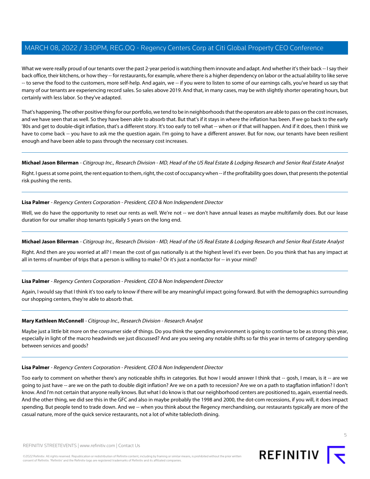What we were really proud of our tenants over the past 2-year period is watching them innovate and adapt. And whether it's their back -- I say their back office, their kitchens, or how they -- for restaurants, for example, where there is a higher dependency on labor or the actual ability to like serve -- to serve the food to the customers, more self-help. And again, we -- if you were to listen to some of our earnings calls, you've heard us say that many of our tenants are experiencing record sales. So sales above 2019. And that, in many cases, may be with slightly shorter operating hours, but certainly with less labor. So they've adapted.

That's happening. The other positive thing for our portfolio, we tend to be in neighborhoods that the operators are able to pass on the cost increases, and we have seen that as well. So they have been able to absorb that. But that's if it stays in where the inflation has been. If we go back to the early '80s and get to double-digit inflation, that's a different story. It's too early to tell what -- when or if that will happen. And if it does, then I think we have to come back -- you have to ask me the question again. I'm going to have a different answer. But for now, our tenants have been resilient enough and have been able to pass through the necessary cost increases.

# **Michael Jason Bilerman** - Citigroup Inc., Research Division - MD, Head of the US Real Estate & Lodging Research and Senior Real Estate Analyst

Right. I guess at some point, the rent equation to them, right, the cost of occupancy when -- if the profitability goes down, that presents the potential risk pushing the rents.

#### **Lisa Palmer** - Regency Centers Corporation - President, CEO & Non Independent Director

Well, we do have the opportunity to reset our rents as well. We're not -- we don't have annual leases as maybe multifamily does. But our lease duration for our smaller shop tenants typically 5 years on the long end.

## **Michael Jason Bilerman** - Citigroup Inc., Research Division - MD, Head of the US Real Estate & Lodging Research and Senior Real Estate Analyst

Right. And then are you worried at all? I mean the cost of gas nationally is at the highest level it's ever been. Do you think that has any impact at all in terms of number of trips that a person is willing to make? Or it's just a nonfactor for -- in your mind?

# **Lisa Palmer** - Regency Centers Corporation - President, CEO & Non Independent Director

Again, I would say that I think it's too early to know if there will be any meaningful impact going forward. But with the demographics surrounding our shopping centers, they're able to absorb that.

#### **Mary Kathleen McConnell** - Citigroup Inc., Research Division - Research Analyst

Maybe just a little bit more on the consumer side of things. Do you think the spending environment is going to continue to be as strong this year, especially in light of the macro headwinds we just discussed? And are you seeing any notable shifts so far this year in terms of category spending between services and goods?

#### **Lisa Palmer** - Regency Centers Corporation - President, CEO & Non Independent Director

Too early to comment on whether there's any noticeable shifts in categories. But how I would answer I think that -- gosh, I mean, is it -- are we going to just have -- are we on the path to double digit inflation? Are we on a path to recession? Are we on a path to stagflation inflation? I don't know. And I'm not certain that anyone really knows. But what I do know is that our neighborhood centers are positioned to, again, essential needs. And the other thing, we did see this in the GFC and also in maybe probably the 1998 and 2000, the dot-com recessions, if you will, it does impact spending. But people tend to trade down. And we -- when you think about the Regency merchandising, our restaurants typically are more of the casual nature, more of the quick service restaurants, not a lot of white tablecloth dining.

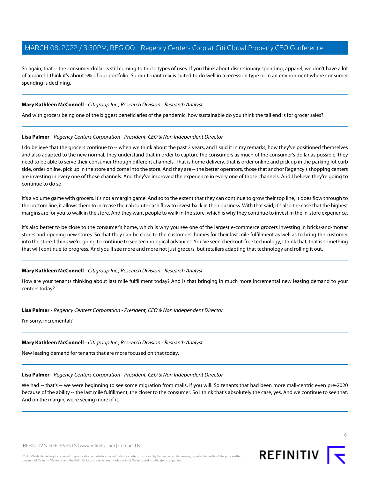So again, that -- the consumer dollar is still coming to those types of uses. If you think about discretionary spending, apparel, we don't have a lot of apparel. I think it's about 5% of our portfolio. So our tenant mix is suited to do well in a recession type or in an environment where consumer spending is declining.

# **Mary Kathleen McConnell** - Citigroup Inc., Research Division - Research Analyst

And with grocers being one of the biggest beneficiaries of the pandemic, how sustainable do you think the tail end is for grocer sales?

#### **Lisa Palmer** - Regency Centers Corporation - President, CEO & Non Independent Director

I do believe that the grocers continue to -- when we think about the past 2 years, and I said it in my remarks, how they've positioned themselves and also adapted to the new normal, they understand that in order to capture the consumers as much of the consumer's dollar as possible, they need to be able to serve their consumer through different channels. That is home delivery, that is order online and pick up in the parking lot curb side, order online, pick up in the store and come into the store. And they are -- the better operators, those that anchor Regency's shopping centers are investing in every one of those channels. And they've improved the experience in every one of those channels. And I believe they're going to continue to do so.

It's a volume game with grocers. It's not a margin game. And so to the extent that they can continue to grow their top line, it does flow through to the bottom line, it allows them to increase their absolute cash flow to invest back in their business. With that said, it's also the case that the highest margins are for you to walk in the store. And they want people to walk in the store, which is why they continue to invest in the in-store experience.

It's also better to be close to the consumer's home, which is why you see one of the largest e-commerce grocers investing in bricks-and-mortar stores and opening new stores. So that they can be close to the customers' homes for their last mile fulfillment as well as to bring the customer into the store. I think we're going to continue to see technological advances. You've seen checkout-free technology, I think that, that is something that will continue to progress. And you'll see more and more not just grocers, but retailers adapting that technology and rolling it out.

#### **Mary Kathleen McConnell** - Citigroup Inc., Research Division - Research Analyst

How are your tenants thinking about last mile fulfillment today? And is that bringing in much more incremental new leasing demand to your centers today?

#### **Lisa Palmer** - Regency Centers Corporation - President, CEO & Non Independent Director

I'm sorry, incremental?

#### **Mary Kathleen McConnell** - Citigroup Inc., Research Division - Research Analyst

New leasing demand for tenants that are more focused on that today.

#### **Lisa Palmer** - Regency Centers Corporation - President, CEO & Non Independent Director

We had -- that's -- we were beginning to see some migration from malls, if you will. So tenants that had been more mall-centric even pre-2020 because of the ability -- the last mile fulfillment, the closer to the consumer. So I think that's absolutely the case, yes. And we continue to see that. And on the margin, we're seeing more of it.

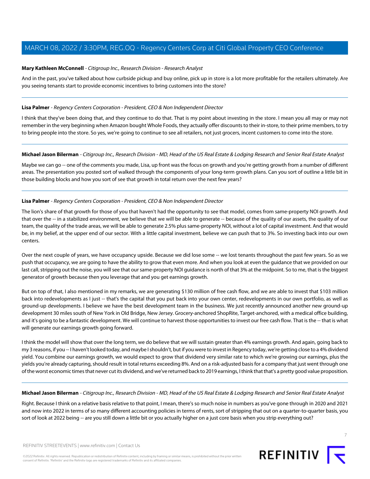## **Mary Kathleen McConnell** - Citigroup Inc., Research Division - Research Analyst

And in the past, you've talked about how curbside pickup and buy online, pick up in store is a lot more profitable for the retailers ultimately. Are you seeing tenants start to provide economic incentives to bring customers into the store?

#### **Lisa Palmer** - Regency Centers Corporation - President, CEO & Non Independent Director

I think that they've been doing that, and they continue to do that. That is my point about investing in the store. I mean you all may or may not remember in the very beginning when Amazon bought Whole Foods, they actually offer discounts to their in-store, to their prime members, to try to bring people into the store. So yes, we're going to continue to see all retailers, not just grocers, incent customers to come into the store.

#### **Michael Jason Bilerman** - Citigroup Inc., Research Division - MD, Head of the US Real Estate & Lodging Research and Senior Real Estate Analyst

Maybe we can go -- one of the comments you made, Lisa, up front was the focus on growth and you're getting growth from a number of different areas. The presentation you posted sort of walked through the components of your long-term growth plans. Can you sort of outline a little bit in those building blocks and how you sort of see that growth in total return over the next few years?

#### **Lisa Palmer** - Regency Centers Corporation - President, CEO & Non Independent Director

The lion's share of that growth for those of you that haven't had the opportunity to see that model, comes from same-property NOI growth. And that over the -- in a stabilized environment, we believe that we will be able to generate -- because of the quality of our assets, the quality of our team, the quality of the trade areas, we will be able to generate 2.5% plus same-property NOI, without a lot of capital investment. And that would be, in my belief, at the upper end of our sector. With a little capital investment, believe we can push that to 3%. So investing back into our own centers.

Over the next couple of years, we have occupancy upside. Because we did lose some -- we lost tenants throughout the past few years. So as we push that occupancy, we are going to have the ability to grow that even more. And when you look at even the guidance that we provided on our last call, stripping out the noise, you will see that our same-property NOI guidance is north of that 3% at the midpoint. So to me, that is the biggest generator of growth because then you leverage that and you get earnings growth.

But on top of that, I also mentioned in my remarks, we are generating \$130 million of free cash flow, and we are able to invest that \$103 million back into redevelopments as I just -- that's the capital that you put back into your own center, redevelopments in our own portfolio, as well as ground-up developments. I believe we have the best development team in the business. We just recently announced another new ground-up development 30 miles south of New York in Old Bridge, New Jersey. Grocery-anchored ShopRite, Target-anchored, with a medical office building, and it's going to be a fantastic development. We will continue to harvest those opportunities to invest our free cash flow. That is the -- that is what will generate our earnings growth going forward.

I think the model will show that over the long term, we do believe that we will sustain greater than 4% earnings growth. And again, going back to my 3 reasons, if you -- I haven't looked today, and maybe I shouldn't, but if you were to invest in Regency today, we're getting close to a 4% dividend yield. You combine our earnings growth, we would expect to grow that dividend very similar rate to which we're growing our earnings, plus the yields you're already capturing, should result in total returns exceeding 8%. And on a risk-adjusted basis for a company that just went through one of the worst economic times that never cut its dividend, and we've returned back to 2019 earnings, I think that that's a pretty good value proposition.

#### **Michael Jason Bilerman** - Citigroup Inc., Research Division - MD, Head of the US Real Estate & Lodging Research and Senior Real Estate Analyst

Right. Because I think on a relative basis relative to that point, I mean, there's so much noise in numbers as you've gone through in 2020 and 2021 and now into 2022 in terms of so many different accounting policies in terms of rents, sort of stripping that out on a quarter-to-quarter basis, you sort of look at 2022 being -- are you still down a little bit or you actually higher on a just core basis when you strip everything out?



7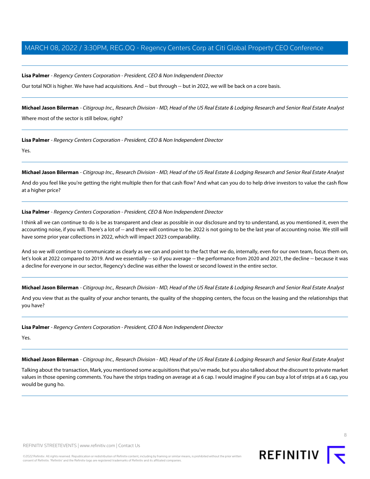## **Lisa Palmer** - Regency Centers Corporation - President, CEO & Non Independent Director

Our total NOI is higher. We have had acquisitions. And -- but through -- but in 2022, we will be back on a core basis.

**Michael Jason Bilerman** - Citigroup Inc., Research Division - MD, Head of the US Real Estate & Lodging Research and Senior Real Estate Analyst Where most of the sector is still below, right?

**Lisa Palmer** - Regency Centers Corporation - President, CEO & Non Independent Director

Yes.

**Michael Jason Bilerman** - Citigroup Inc., Research Division - MD, Head of the US Real Estate & Lodging Research and Senior Real Estate Analyst

And do you feel like you're getting the right multiple then for that cash flow? And what can you do to help drive investors to value the cash flow at a higher price?

#### **Lisa Palmer** - Regency Centers Corporation - President, CEO & Non Independent Director

I think all we can continue to do is be as transparent and clear as possible in our disclosure and try to understand, as you mentioned it, even the accounting noise, if you will. There's a lot of -- and there will continue to be. 2022 is not going to be the last year of accounting noise. We still will have some prior year collections in 2022, which will impact 2023 comparability.

And so we will continue to communicate as clearly as we can and point to the fact that we do, internally, even for our own team, focus them on, let's look at 2022 compared to 2019. And we essentially -- so if you average -- the performance from 2020 and 2021, the decline -- because it was a decline for everyone in our sector, Regency's decline was either the lowest or second lowest in the entire sector.

**Michael Jason Bilerman** - Citigroup Inc., Research Division - MD, Head of the US Real Estate & Lodging Research and Senior Real Estate Analyst

And you view that as the quality of your anchor tenants, the quality of the shopping centers, the focus on the leasing and the relationships that you have?

**Lisa Palmer** - Regency Centers Corporation - President, CEO & Non Independent Director

Yes.

**Michael Jason Bilerman** - Citigroup Inc., Research Division - MD, Head of the US Real Estate & Lodging Research and Senior Real Estate Analyst

Talking about the transaction, Mark, you mentioned some acquisitions that you've made, but you also talked about the discount to private market values in those opening comments. You have the strips trading on average at a 6 cap. I would imagine if you can buy a lot of strips at a 6 cap, you would be gung ho.

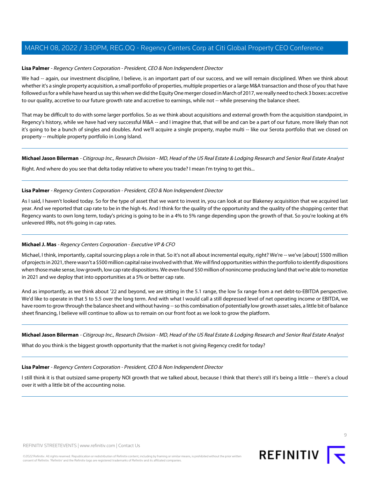#### **Lisa Palmer** - Regency Centers Corporation - President, CEO & Non Independent Director

We had -- again, our investment discipline, I believe, is an important part of our success, and we will remain disciplined. When we think about whether it's a single property acquisition, a small portfolio of properties, multiple properties or a large M&A transaction and those of you that have followed us for a while have heard us say this when we did the Equity One merger closed in March of 2017, we really need to check 3 boxes: accretive to our quality, accretive to our future growth rate and accretive to earnings, while not -- while preserving the balance sheet.

That may be difficult to do with some larger portfolios. So as we think about acquisitions and external growth from the acquisition standpoint, in Regency's history, while we have had very successful M&A -- and I imagine that, that will be and can be a part of our future, more likely than not it's going to be a bunch of singles and doubles. And we'll acquire a single property, maybe multi -- like our Serota portfolio that we closed on property -- multiple property portfolio in Long Island.

**Michael Jason Bilerman** - Citigroup Inc., Research Division - MD, Head of the US Real Estate & Lodging Research and Senior Real Estate Analyst

Right. And where do you see that delta today relative to where you trade? I mean I'm trying to get this...

#### **Lisa Palmer** - Regency Centers Corporation - President, CEO & Non Independent Director

<span id="page-8-0"></span>As I said, I haven't looked today. So for the type of asset that we want to invest in, you can look at our Blakeney acquisition that we acquired last year. And we reported that cap rate to be in the high 4s. And I think for the quality of the opportunity and the quality of the shopping center that Regency wants to own long term, today's pricing is going to be in a 4% to 5% range depending upon the growth of that. So you're looking at 6% unlevered IRRs, not 6% going in cap rates.

# **Michael J. Mas** - Regency Centers Corporation - Executive VP & CFO

Michael, I think, importantly, capital sourcing plays a role in that. So it's not all about incremental equity, right? We're -- we've [about] \$500 million of projects in 2021, there wasn't a \$500 million capital raise involved with that. We will find opportunities within the portfolio to identify dispositions when those make sense, low growth, low cap rate dispositions. We even found \$50 million of nonincome-producing land that we're able to monetize in 2021 and we deploy that into opportunities at a 5% or better cap rate.

And as importantly, as we think about '22 and beyond, we are sitting in the 5.1 range, the low 5x range from a net debt-to-EBITDA perspective. We'd like to operate in that 5 to 5.5 over the long term. And with what I would call a still depressed level of net operating income or EBITDA, we have room to grow through the balance sheet and without having -- so this combination of potentially low growth asset sales, a little bit of balance sheet financing, I believe will continue to allow us to remain on our front foot as we look to grow the platform.

**Michael Jason Bilerman** - Citigroup Inc., Research Division - MD, Head of the US Real Estate & Lodging Research and Senior Real Estate Analyst

What do you think is the biggest growth opportunity that the market is not giving Regency credit for today?

# **Lisa Palmer** - Regency Centers Corporation - President, CEO & Non Independent Director

I still think it is that outsized same-property NOI growth that we talked about, because I think that there's still it's being a little -- there's a cloud over it with a little bit of the accounting noise.

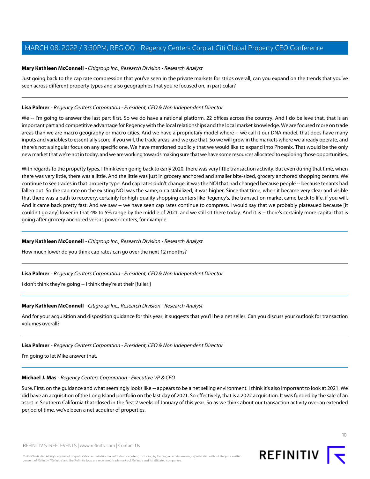#### **Mary Kathleen McConnell** - Citigroup Inc., Research Division - Research Analyst

Just going back to the cap rate compression that you've seen in the private markets for strips overall, can you expand on the trends that you've seen across different property types and also geographies that you're focused on, in particular?

#### **Lisa Palmer** - Regency Centers Corporation - President, CEO & Non Independent Director

We -- I'm going to answer the last part first. So we do have a national platform, 22 offices across the country. And I do believe that, that is an important part and competitive advantage for Regency with the local relationships and the local market knowledge. We are focused more on trade areas than we are macro geography or macro cities. And we have a proprietary model where -- we call it our DNA model, that does have many inputs and variables to essentially score, if you will, the trade areas, and we use that. So we will grow in the markets where we already operate, and there's not a singular focus on any specific one. We have mentioned publicly that we would like to expand into Phoenix. That would be the only new market that we're not in today, and we are working towards making sure that we have some resources allocated to exploring those opportunities.

With regards to the property types, I think even going back to early 2020, there was very little transaction activity. But even during that time, when there was very little, there was a little. And the little was just in grocery anchored and smaller bite-sized, grocery anchored shopping centers. We continue to see trades in that property type. And cap rates didn't change, it was the NOI that had changed because people -- because tenants had fallen out. So the cap rate on the existing NOI was the same, on a stabilized, it was higher. Since that time, when it became very clear and visible that there was a path to recovery, certainly for high-quality shopping centers like Regency's, the transaction market came back to life, if you will. And it came back pretty fast. And we saw -- we have seen cap rates continue to compress. I would say that we probably plateaued because [it couldn't go any] lower in that 4% to 5% range by the middle of 2021, and we still sit there today. And it is -- there's certainly more capital that is going after grocery anchored versus power centers, for example.

#### **Mary Kathleen McConnell** - Citigroup Inc., Research Division - Research Analyst

How much lower do you think cap rates can go over the next 12 months?

#### **Lisa Palmer** - Regency Centers Corporation - President, CEO & Non Independent Director

I don't think they're going -- I think they're at their [fuller.]

#### **Mary Kathleen McConnell** - Citigroup Inc., Research Division - Research Analyst

And for your acquisition and disposition guidance for this year, it suggests that you'll be a net seller. Can you discuss your outlook for transaction volumes overall?

#### **Lisa Palmer** - Regency Centers Corporation - President, CEO & Non Independent Director

I'm going to let Mike answer that.

#### **Michael J. Mas** - Regency Centers Corporation - Executive VP & CFO

Sure. First, on the guidance and what seemingly looks like -- appears to be a net selling environment. I think it's also important to look at 2021. We did have an acquisition of the Long Island portfolio on the last day of 2021. So effectively, that is a 2022 acquisition. It was funded by the sale of an asset in Southern California that closed in the first 2 weeks of January of this year. So as we think about our transaction activity over an extended period of time, we've been a net acquirer of properties.



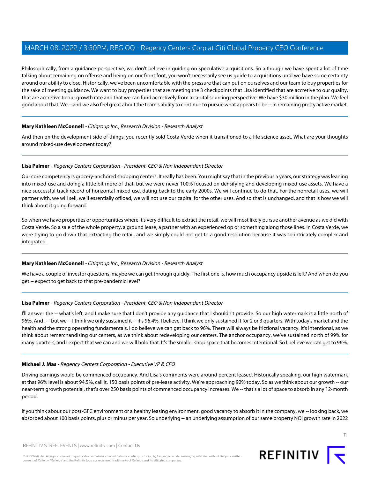Philosophically, from a guidance perspective, we don't believe in guiding on speculative acquisitions. So although we have spent a lot of time talking about remaining on offense and being on our front foot, you won't necessarily see us guide to acquisitions until we have some certainty around our ability to close. Historically, we've been uncomfortable with the pressure that can put on ourselves and our team to buy properties for the sake of meeting guidance. We want to buy properties that are meeting the 3 checkpoints that Lisa identified that are accretive to our quality, that are accretive to our growth rate and that we can fund accretively from a capital sourcing perspective. We have \$30 million in the plan. We feel good about that. We -- and we also feel great about the team's ability to continue to pursue what appears to be -- in remaining pretty active market.

# **Mary Kathleen McConnell** - Citigroup Inc., Research Division - Research Analyst

And then on the development side of things, you recently sold Costa Verde when it transitioned to a life science asset. What are your thoughts around mixed-use development today?

# **Lisa Palmer** - Regency Centers Corporation - President, CEO & Non Independent Director

Our core competency is grocery-anchored shopping centers. It really has been. You might say that in the previous 5 years, our strategy was leaning into mixed-use and doing a little bit more of that, but we were never 100% focused on densifying and developing mixed-use assets. We have a nice successful track record of horizontal mixed use, dating back to the early 2000s. We will continue to do that. For the nonretail uses, we will partner with, we will sell, we'll essentially offload, we will not use our capital for the other uses. And so that is unchanged, and that is how we will think about it going forward.

So when we have properties or opportunities where it's very difficult to extract the retail, we will most likely pursue another avenue as we did with Costa Verde. So a sale of the whole property, a ground lease, a partner with an experienced op or something along those lines. In Costa Verde, we were trying to go down that extracting the retail, and we simply could not get to a good resolution because it was so intricately complex and integrated.

# **Mary Kathleen McConnell** - Citigroup Inc., Research Division - Research Analyst

We have a couple of investor questions, maybe we can get through quickly. The first one is, how much occupancy upside is left? And when do you get -- expect to get back to that pre-pandemic level?

# **Lisa Palmer** - Regency Centers Corporation - President, CEO & Non Independent Director

I'll answer the -- what's left, and I make sure that I don't provide any guidance that I shouldn't provide. So our high watermark is a little north of 96%. And I-- but we -- I think we only sustained it -- it's 96.4%, I believe. I think we only sustained it for 2 or 3 quarters. With today's market and the health and the strong operating fundamentals, I do believe we can get back to 96%. There will always be frictional vacancy. It's intentional, as we think about remerchandising our centers, as we think about redeveloping our centers. The anchor occupancy, we've sustained north of 99% for many quarters, and I expect that we can and we will hold that. It's the smaller shop space that becomes intentional. So I believe we can get to 96%.

# **Michael J. Mas** - Regency Centers Corporation - Executive VP & CFO

Driving earnings would be commenced occupancy. And Lisa's comments were around percent leased. Historically speaking, our high watermark at that 96% level is about 94.5%, call it, 150 basis points of pre-lease activity. We're approaching 92% today. So as we think about our growth -- our near-term growth potential, that's over 250 basis points of commenced occupancy increases. We -- that's a lot of space to absorb in any 12-month period.

If you think about our post-GFC environment or a healthy leasing environment, good vacancy to absorb it in the company, we -- looking back, we absorbed about 100 basis points, plus or minus per year. So underlying -- an underlying assumption of our same property NOI growth rate in 2022

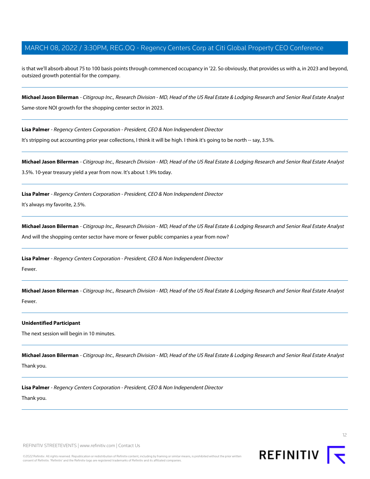is that we'll absorb about 75 to 100 basis points through commenced occupancy in '22. So obviously, that provides us with a, in 2023 and beyond, outsized growth potential for the company.

**Michael Jason Bilerman** - Citigroup Inc., Research Division - MD, Head of the US Real Estate & Lodging Research and Senior Real Estate Analyst Same-store NOI growth for the shopping center sector in 2023.

**Lisa Palmer** - Regency Centers Corporation - President, CEO & Non Independent Director

It's stripping out accounting prior year collections, I think it will be high. I think it's going to be north -- say, 3.5%.

**Michael Jason Bilerman** - Citigroup Inc., Research Division - MD, Head of the US Real Estate & Lodging Research and Senior Real Estate Analyst 3.5%. 10-year treasury yield a year from now. It's about 1.9% today.

**Lisa Palmer** - Regency Centers Corporation - President, CEO & Non Independent Director It's always my favorite, 2.5%.

**Michael Jason Bilerman** - Citigroup Inc., Research Division - MD, Head of the US Real Estate & Lodging Research and Senior Real Estate Analyst And will the shopping center sector have more or fewer public companies a year from now?

**Lisa Palmer** - Regency Centers Corporation - President, CEO & Non Independent Director Fewer.

**Michael Jason Bilerman** - Citigroup Inc., Research Division - MD, Head of the US Real Estate & Lodging Research and Senior Real Estate Analyst Fewer.

#### **Unidentified Participant**

The next session will begin in 10 minutes.

**Michael Jason Bilerman** - Citigroup Inc., Research Division - MD, Head of the US Real Estate & Lodging Research and Senior Real Estate Analyst Thank you.

**Lisa Palmer** - Regency Centers Corporation - President, CEO & Non Independent Director

Thank you.

REFINITIV STREETEVENTS | [www.refinitiv.com](https://www.refinitiv.com/) | [Contact Us](https://www.refinitiv.com/en/contact-us)